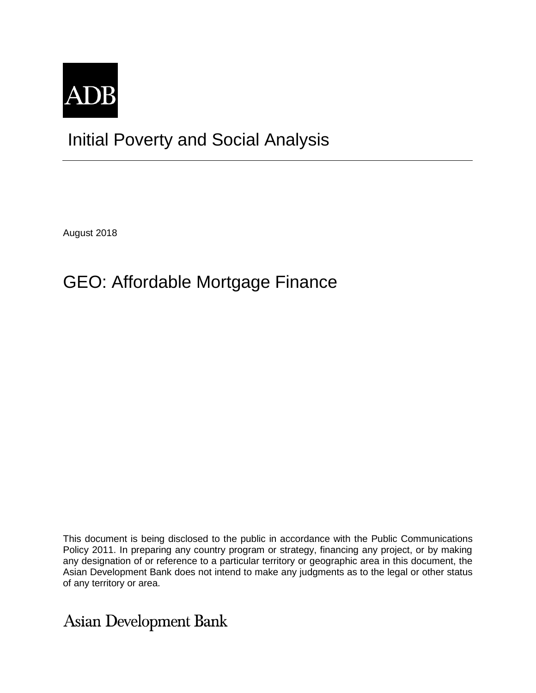

## Initial Poverty and Social Analysis

August 2018

## GEO: Affordable Mortgage Finance

This document is being disclosed to the public in accordance with the Public Communications Policy 2011. In preparing any country program or strategy, financing any project, or by making any designation of or reference to a particular territory or geographic area in this document, the Asian Development Bank does not intend to make any judgments as to the legal or other status of any territory or area.

**Asian Development Bank**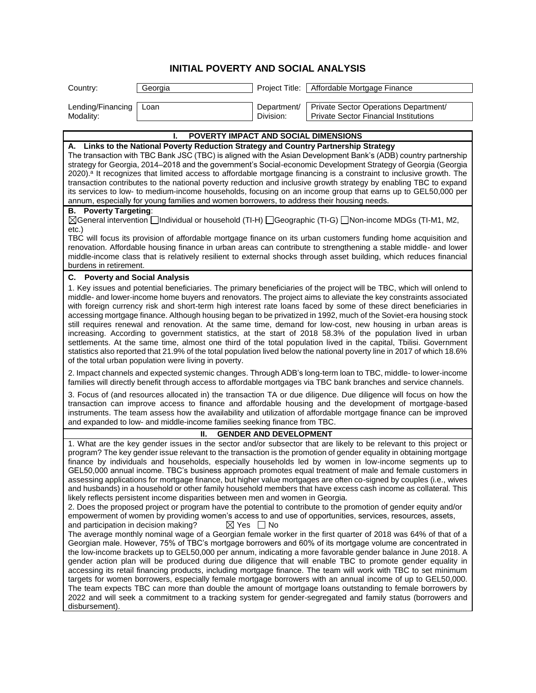## **INITIAL POVERTY AND SOCIAL ANALYSIS**

| Country:                                                                                                                                                                                                                                                                                                                                                                                                                                                                                                                                                                                                                                                                                                                                                                                                                                                                                                                                                                                                                     | Georgia                                                                         | Project Title:            | Affordable Mortgage Finance                                                                                                                                                                                                                                                                                                                                                                                                                                                                                                                                                                                                                                                                                                                                                                                                                                                                                                                                                                                                                                                                                                                                                                                                                                                                                                                                                                                                                                                                                                                                                                                                                                                                                                                                                                                                                                                 |  |
|------------------------------------------------------------------------------------------------------------------------------------------------------------------------------------------------------------------------------------------------------------------------------------------------------------------------------------------------------------------------------------------------------------------------------------------------------------------------------------------------------------------------------------------------------------------------------------------------------------------------------------------------------------------------------------------------------------------------------------------------------------------------------------------------------------------------------------------------------------------------------------------------------------------------------------------------------------------------------------------------------------------------------|---------------------------------------------------------------------------------|---------------------------|-----------------------------------------------------------------------------------------------------------------------------------------------------------------------------------------------------------------------------------------------------------------------------------------------------------------------------------------------------------------------------------------------------------------------------------------------------------------------------------------------------------------------------------------------------------------------------------------------------------------------------------------------------------------------------------------------------------------------------------------------------------------------------------------------------------------------------------------------------------------------------------------------------------------------------------------------------------------------------------------------------------------------------------------------------------------------------------------------------------------------------------------------------------------------------------------------------------------------------------------------------------------------------------------------------------------------------------------------------------------------------------------------------------------------------------------------------------------------------------------------------------------------------------------------------------------------------------------------------------------------------------------------------------------------------------------------------------------------------------------------------------------------------------------------------------------------------------------------------------------------------|--|
| Lending/Financing<br>Modality:                                                                                                                                                                                                                                                                                                                                                                                                                                                                                                                                                                                                                                                                                                                                                                                                                                                                                                                                                                                               | Loan                                                                            | Department/<br>Division:  | Private Sector Operations Department/<br><b>Private Sector Financial Institutions</b>                                                                                                                                                                                                                                                                                                                                                                                                                                                                                                                                                                                                                                                                                                                                                                                                                                                                                                                                                                                                                                                                                                                                                                                                                                                                                                                                                                                                                                                                                                                                                                                                                                                                                                                                                                                       |  |
| <b>POVERTY IMPACT AND SOCIAL DIMENSIONS</b>                                                                                                                                                                                                                                                                                                                                                                                                                                                                                                                                                                                                                                                                                                                                                                                                                                                                                                                                                                                  |                                                                                 |                           |                                                                                                                                                                                                                                                                                                                                                                                                                                                                                                                                                                                                                                                                                                                                                                                                                                                                                                                                                                                                                                                                                                                                                                                                                                                                                                                                                                                                                                                                                                                                                                                                                                                                                                                                                                                                                                                                             |  |
| A. Links to the National Poverty Reduction Strategy and Country Partnership Strategy<br>The transaction with TBC Bank JSC (TBC) is aligned with the Asian Development Bank's (ADB) country partnership<br>strategy for Georgia, 2014–2018 and the government's Social-economic Development Strategy of Georgia (Georgia<br>2020). <sup>a</sup> It recognizes that limited access to affordable mortgage financing is a constraint to inclusive growth. The<br>transaction contributes to the national poverty reduction and inclusive growth strategy by enabling TBC to expand<br>its services to low- to medium-income households, focusing on an income group that earns up to GEL50,000 per<br>annum, especially for young families and women borrowers, to address their housing needs.                                                                                                                                                                                                                                 |                                                                                 |                           |                                                                                                                                                                                                                                                                                                                                                                                                                                                                                                                                                                                                                                                                                                                                                                                                                                                                                                                                                                                                                                                                                                                                                                                                                                                                                                                                                                                                                                                                                                                                                                                                                                                                                                                                                                                                                                                                             |  |
| <b>B.</b> Poverty Targeting:<br>⊠General intervention [alndividual or household (TI-H) [Geographic (TI-G) [Non-income MDGs (TI-M1, M2,<br>$etc.$ )<br>TBC will focus its provision of affordable mortgage finance on its urban customers funding home acquisition and<br>renovation. Affordable housing finance in urban areas can contribute to strengthening a stable middle- and lower<br>middle-income class that is relatively resilient to external shocks through asset building, which reduces financial<br>burdens in retirement.                                                                                                                                                                                                                                                                                                                                                                                                                                                                                   |                                                                                 |                           |                                                                                                                                                                                                                                                                                                                                                                                                                                                                                                                                                                                                                                                                                                                                                                                                                                                                                                                                                                                                                                                                                                                                                                                                                                                                                                                                                                                                                                                                                                                                                                                                                                                                                                                                                                                                                                                                             |  |
| C. Poverty and Social Analysis                                                                                                                                                                                                                                                                                                                                                                                                                                                                                                                                                                                                                                                                                                                                                                                                                                                                                                                                                                                               |                                                                                 |                           |                                                                                                                                                                                                                                                                                                                                                                                                                                                                                                                                                                                                                                                                                                                                                                                                                                                                                                                                                                                                                                                                                                                                                                                                                                                                                                                                                                                                                                                                                                                                                                                                                                                                                                                                                                                                                                                                             |  |
| 1. Key issues and potential beneficiaries. The primary beneficiaries of the project will be TBC, which will onlend to<br>middle- and lower-income home buyers and renovators. The project aims to alleviate the key constraints associated<br>with foreign currency risk and short-term high interest rate loans faced by some of these direct beneficiaries in<br>accessing mortgage finance. Although housing began to be privatized in 1992, much of the Soviet-era housing stock<br>still requires renewal and renovation. At the same time, demand for low-cost, new housing in urban areas is<br>increasing. According to government statistics, at the start of 2018 58.3% of the population lived in urban<br>settlements. At the same time, almost one third of the total population lived in the capital, Tbilisi. Government<br>statistics also reported that 21.9% of the total population lived below the national poverty line in 2017 of which 18.6%<br>of the total urban population were living in poverty. |                                                                                 |                           |                                                                                                                                                                                                                                                                                                                                                                                                                                                                                                                                                                                                                                                                                                                                                                                                                                                                                                                                                                                                                                                                                                                                                                                                                                                                                                                                                                                                                                                                                                                                                                                                                                                                                                                                                                                                                                                                             |  |
| 2. Impact channels and expected systemic changes. Through ADB's long-term loan to TBC, middle- to lower-income<br>families will directly benefit through access to affordable mortgages via TBC bank branches and service channels.                                                                                                                                                                                                                                                                                                                                                                                                                                                                                                                                                                                                                                                                                                                                                                                          |                                                                                 |                           |                                                                                                                                                                                                                                                                                                                                                                                                                                                                                                                                                                                                                                                                                                                                                                                                                                                                                                                                                                                                                                                                                                                                                                                                                                                                                                                                                                                                                                                                                                                                                                                                                                                                                                                                                                                                                                                                             |  |
| 3. Focus of (and resources allocated in) the transaction TA or due diligence. Due diligence will focus on how the<br>transaction can improve access to finance and affordable housing and the development of mortgage-based<br>instruments. The team assess how the availability and utilization of affordable mortgage finance can be improved<br>and expanded to low- and middle-income families seeking finance from TBC.                                                                                                                                                                                                                                                                                                                                                                                                                                                                                                                                                                                                 |                                                                                 |                           |                                                                                                                                                                                                                                                                                                                                                                                                                                                                                                                                                                                                                                                                                                                                                                                                                                                                                                                                                                                                                                                                                                                                                                                                                                                                                                                                                                                                                                                                                                                                                                                                                                                                                                                                                                                                                                                                             |  |
| Ш.<br><b>GENDER AND DEVELOPMENT</b>                                                                                                                                                                                                                                                                                                                                                                                                                                                                                                                                                                                                                                                                                                                                                                                                                                                                                                                                                                                          |                                                                                 |                           |                                                                                                                                                                                                                                                                                                                                                                                                                                                                                                                                                                                                                                                                                                                                                                                                                                                                                                                                                                                                                                                                                                                                                                                                                                                                                                                                                                                                                                                                                                                                                                                                                                                                                                                                                                                                                                                                             |  |
| and participation in decision making?<br>disbursement).                                                                                                                                                                                                                                                                                                                                                                                                                                                                                                                                                                                                                                                                                                                                                                                                                                                                                                                                                                      | likely reflects persistent income disparities between men and women in Georgia. | $\boxtimes$ Yes $\Box$ No | 1. What are the key gender issues in the sector and/or subsector that are likely to be relevant to this project or<br>program? The key gender issue relevant to the transaction is the promotion of gender equality in obtaining mortgage<br>finance by individuals and households, especially households led by women in low-income segments up to<br>GEL50,000 annual income. TBC's business approach promotes equal treatment of male and female customers in<br>assessing applications for mortgage finance, but higher value mortgages are often co-signed by couples (i.e., wives<br>and husbands) in a household or other family household members that have excess cash income as collateral. This<br>2. Does the proposed project or program have the potential to contribute to the promotion of gender equity and/or<br>empowerment of women by providing women's access to and use of opportunities, services, resources, assets,<br>The average monthly nominal wage of a Georgian female worker in the first quarter of 2018 was 64% of that of a<br>Georgian male. However, 75% of TBC's mortgage borrowers and 60% of its mortgage volume are concentrated in<br>the low-income brackets up to GEL50,000 per annum, indicating a more favorable gender balance in June 2018. A<br>gender action plan will be produced during due diligence that will enable TBC to promote gender equality in<br>accessing its retail financing products, including mortgage finance. The team will work with TBC to set minimum<br>targets for women borrowers, especially female mortgage borrowers with an annual income of up to GEL50,000.<br>The team expects TBC can more than double the amount of mortgage loans outstanding to female borrowers by<br>2022 and will seek a commitment to a tracking system for gender-segregated and family status (borrowers and |  |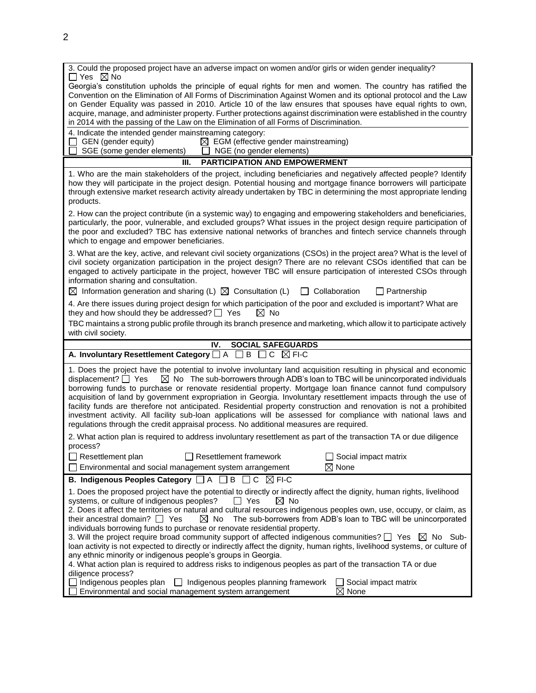| 3. Could the proposed project have an adverse impact on women and/or girls or widen gender inequality?<br>$\Box$ Yes $\boxtimes$ No                                                                                                                                                                                                                                                                                                                                                                                                                                                                                                                                                                                                                                                                                                                                                                                                                                                                                                                                                                    |  |  |  |  |
|--------------------------------------------------------------------------------------------------------------------------------------------------------------------------------------------------------------------------------------------------------------------------------------------------------------------------------------------------------------------------------------------------------------------------------------------------------------------------------------------------------------------------------------------------------------------------------------------------------------------------------------------------------------------------------------------------------------------------------------------------------------------------------------------------------------------------------------------------------------------------------------------------------------------------------------------------------------------------------------------------------------------------------------------------------------------------------------------------------|--|--|--|--|
| Georgia's constitution upholds the principle of equal rights for men and women. The country has ratified the<br>Convention on the Elimination of All Forms of Discrimination Against Women and its optional protocol and the Law<br>on Gender Equality was passed in 2010. Article 10 of the law ensures that spouses have equal rights to own,<br>acquire, manage, and administer property. Further protections against discrimination were established in the country<br>in 2014 with the passing of the Law on the Elimination of all Forms of Discrimination.                                                                                                                                                                                                                                                                                                                                                                                                                                                                                                                                      |  |  |  |  |
| 4. Indicate the intended gender mainstreaming category:<br>$\Box$ GEN (gender equity)<br>$\boxtimes$ EGM (effective gender mainstreaming)<br>SGE (some gender elements)<br><u> </u> NGE (no gender elements)                                                                                                                                                                                                                                                                                                                                                                                                                                                                                                                                                                                                                                                                                                                                                                                                                                                                                           |  |  |  |  |
| PARTICIPATION AND EMPOWERMENT<br>III.                                                                                                                                                                                                                                                                                                                                                                                                                                                                                                                                                                                                                                                                                                                                                                                                                                                                                                                                                                                                                                                                  |  |  |  |  |
| 1. Who are the main stakeholders of the project, including beneficiaries and negatively affected people? Identify<br>how they will participate in the project design. Potential housing and mortgage finance borrowers will participate<br>through extensive market research activity already undertaken by TBC in determining the most appropriate lending<br>products.                                                                                                                                                                                                                                                                                                                                                                                                                                                                                                                                                                                                                                                                                                                               |  |  |  |  |
| 2. How can the project contribute (in a systemic way) to engaging and empowering stakeholders and beneficiaries,<br>particularly, the poor, vulnerable, and excluded groups? What issues in the project design require participation of<br>the poor and excluded? TBC has extensive national networks of branches and fintech service channels through<br>which to engage and empower beneficiaries.                                                                                                                                                                                                                                                                                                                                                                                                                                                                                                                                                                                                                                                                                                   |  |  |  |  |
| 3. What are the key, active, and relevant civil society organizations (CSOs) in the project area? What is the level of<br>civil society organization participation in the project design? There are no relevant CSOs identified that can be<br>engaged to actively participate in the project, however TBC will ensure participation of interested CSOs through<br>information sharing and consultation.                                                                                                                                                                                                                                                                                                                                                                                                                                                                                                                                                                                                                                                                                               |  |  |  |  |
| $\boxtimes$ Information generation and sharing (L) $\boxtimes$ Consultation (L)<br><b>Collaboration</b><br>$\Box$ Partnership                                                                                                                                                                                                                                                                                                                                                                                                                                                                                                                                                                                                                                                                                                                                                                                                                                                                                                                                                                          |  |  |  |  |
| 4. Are there issues during project design for which participation of the poor and excluded is important? What are<br>they and how should they be addressed? $\Box$ Yes<br>$\boxtimes$ No                                                                                                                                                                                                                                                                                                                                                                                                                                                                                                                                                                                                                                                                                                                                                                                                                                                                                                               |  |  |  |  |
| TBC maintains a strong public profile through its branch presence and marketing, which allow it to participate actively<br>with civil society.                                                                                                                                                                                                                                                                                                                                                                                                                                                                                                                                                                                                                                                                                                                                                                                                                                                                                                                                                         |  |  |  |  |
| IV.<br><b>SOCIAL SAFEGUARDS</b>                                                                                                                                                                                                                                                                                                                                                                                                                                                                                                                                                                                                                                                                                                                                                                                                                                                                                                                                                                                                                                                                        |  |  |  |  |
| A. Involuntary Resettlement Category □ A □ B<br>$\Box$ $C$ $\Box$ FI-C                                                                                                                                                                                                                                                                                                                                                                                                                                                                                                                                                                                                                                                                                                                                                                                                                                                                                                                                                                                                                                 |  |  |  |  |
| 1. Does the project have the potential to involve involuntary land acquisition resulting in physical and economic<br>$\boxtimes$ No The sub-borrowers through ADB's loan to TBC will be unincorporated individuals<br>displacement? $\Box$ Yes<br>borrowing funds to purchase or renovate residential property. Mortgage loan finance cannot fund compulsory<br>acquisition of land by government expropriation in Georgia. Involuntary resettlement impacts through the use of<br>facility funds are therefore not anticipated. Residential property construction and renovation is not a prohibited<br>investment activity. All facility sub-loan applications will be assessed for compliance with national laws and<br>regulations through the credit appraisal process. No additional measures are required.                                                                                                                                                                                                                                                                                      |  |  |  |  |
| 2. What action plan is required to address involuntary resettlement as part of the transaction TA or due diligence<br>process?                                                                                                                                                                                                                                                                                                                                                                                                                                                                                                                                                                                                                                                                                                                                                                                                                                                                                                                                                                         |  |  |  |  |
|                                                                                                                                                                                                                                                                                                                                                                                                                                                                                                                                                                                                                                                                                                                                                                                                                                                                                                                                                                                                                                                                                                        |  |  |  |  |
| $\Box$ Resettlement plan<br>$\Box$ Resettlement framework<br>Social impact matrix                                                                                                                                                                                                                                                                                                                                                                                                                                                                                                                                                                                                                                                                                                                                                                                                                                                                                                                                                                                                                      |  |  |  |  |
| $\boxtimes$ None<br>Environmental and social management system arrangement                                                                                                                                                                                                                                                                                                                                                                                                                                                                                                                                                                                                                                                                                                                                                                                                                                                                                                                                                                                                                             |  |  |  |  |
| B. Indigenous Peoples Category □ A □ B □ C ⊠ FI-C                                                                                                                                                                                                                                                                                                                                                                                                                                                                                                                                                                                                                                                                                                                                                                                                                                                                                                                                                                                                                                                      |  |  |  |  |
| 1. Does the proposed project have the potential to directly or indirectly affect the dignity, human rights, livelihood<br>$\boxtimes$ No<br>systems, or culture of indigenous peoples?<br>II Yes<br>2. Does it affect the territories or natural and cultural resources indigenous peoples own, use, occupy, or claim, as<br>The sub-borrowers from ADB's loan to TBC will be unincorporated<br>their ancestral domain? $\Box$ Yes<br>$\boxtimes$ No<br>individuals borrowing funds to purchase or renovate residential property.<br>3. Will the project require broad community support of affected indigenous communities? $\square$ Yes $\boxtimes$ No Sub-<br>loan activity is not expected to directly or indirectly affect the dignity, human rights, livelihood systems, or culture of<br>any ethnic minority or indigenous people's groups in Georgia.<br>4. What action plan is required to address risks to indigenous peoples as part of the transaction TA or due<br>diligence process?<br>Indigenous peoples plan<br>$\Box$ Indigenous peoples planning framework<br>Social impact matrix |  |  |  |  |